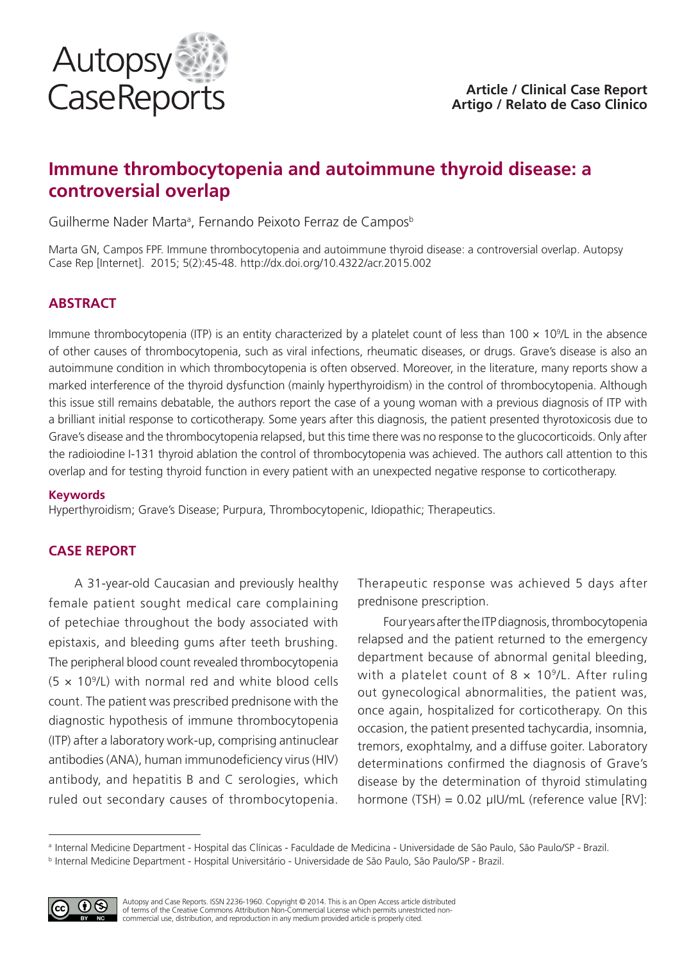

# **Immune thrombocytopenia and autoimmune thyroid disease: a controversial overlap**

Guilherme Nader Marta<sup>a</sup>, Fernando Peixoto Ferraz de Campos<sup>b</sup>

Marta GN, Campos FPF. Immune thrombocytopenia and autoimmune thyroid disease: a controversial overlap. Autopsy Case Rep [Internet]. 2015; 5(2):45-48. http://dx.doi.org/10.4322/acr.2015.002

## **ABSTRACT**

Immune thrombocytopenia (ITP) is an entity characterized by a platelet count of less than  $100 \times 10^9$ L in the absence of other causes of thrombocytopenia, such as viral infections, rheumatic diseases, or drugs. Grave's disease is also an autoimmune condition in which thrombocytopenia is often observed. Moreover, in the literature, many reports show a marked interference of the thyroid dysfunction (mainly hyperthyroidism) in the control of thrombocytopenia. Although this issue still remains debatable, the authors report the case of a young woman with a previous diagnosis of ITP with a brilliant initial response to corticotherapy. Some years after this diagnosis, the patient presented thyrotoxicosis due to Grave's disease and the thrombocytopenia relapsed, but this time there was no response to the glucocorticoids. Only after the radioiodine I-131 thyroid ablation the control of thrombocytopenia was achieved. The authors call attention to this overlap and for testing thyroid function in every patient with an unexpected negative response to corticotherapy.

#### **Keywords**

Hyperthyroidism; Grave's Disease; Purpura, Thrombocytopenic, Idiopathic; Therapeutics.

### **CASE REPORT**

A 31-year-old Caucasian and previously healthy female patient sought medical care complaining of petechiae throughout the body associated with epistaxis, and bleeding gums after teeth brushing. The peripheral blood count revealed thrombocytopenia  $(5 \times 10^9$ /L) with normal red and white blood cells count. The patient was prescribed prednisone with the diagnostic hypothesis of immune thrombocytopenia (ITP) after a laboratory work-up, comprising antinuclear antibodies (ANA), human immunodeficiency virus (HIV) antibody, and hepatitis B and C serologies, which ruled out secondary causes of thrombocytopenia. Therapeutic response was achieved 5 days after prednisone prescription.

Four years after the ITP diagnosis, thrombocytopenia relapsed and the patient returned to the emergency department because of abnormal genital bleeding, with a platelet count of  $8 \times 10^9$ /L. After ruling out gynecological abnormalities, the patient was, once again, hospitalized for corticotherapy. On this occasion, the patient presented tachycardia, insomnia, tremors, exophtalmy, and a diffuse goiter. Laboratory determinations confirmed the diagnosis of Grave's disease by the determination of thyroid stimulating hormone (TSH) = 0.02 μIU/mL (reference value [RV]:

<sup>a</sup> Internal Medicine Department - Hospital das Clínicas - Faculdade de Medicina - Universidade de São Paulo, São Paulo/SP - Brazil. <sup>b</sup> Internal Medicine Department - Hospital Universitário - Universidade de São Paulo, São Paulo/SP - Brazil.



Autopsy and Case Reports. ISSN 2236-1960. Copyright © 2014. This is an Open Access article distributed of terms of the Creative Commons Attribution Non-Commercial License which permits unrestricted noncommercial use, distribution, and reproduction in any medium provided article is properly cited.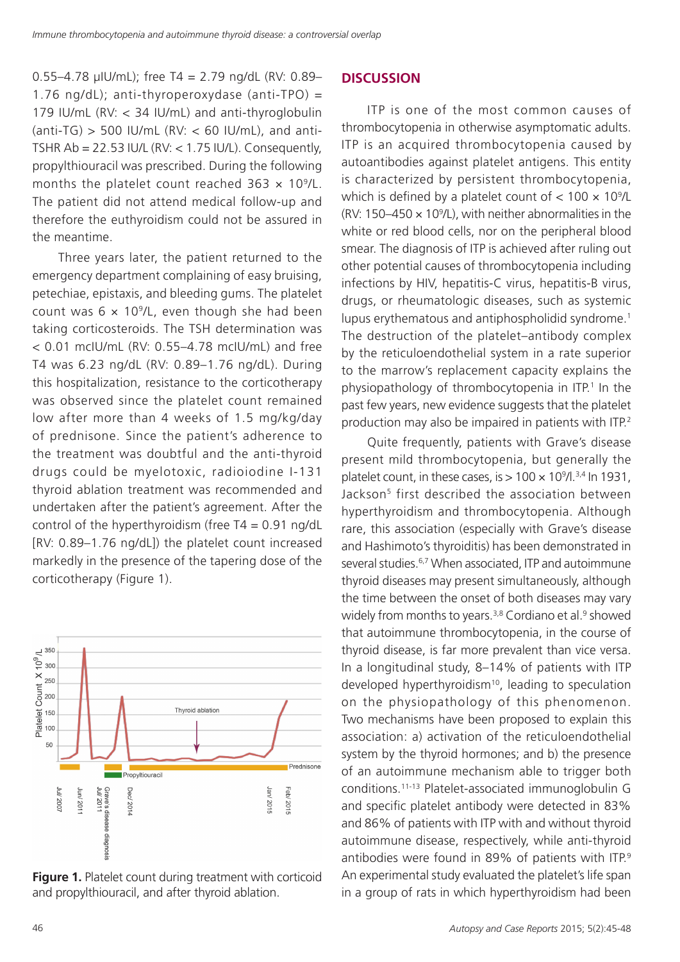0.55–4.78 μIU/mL); free T4 = 2.79 ng/dL (RV: 0.89– 1.76 ng/dL); anti-thyroperoxydase (anti-TPO) = 179 IU/mL (RV: < 34 IU/mL) and anti-thyroglobulin  $(anti-TG) > 500$  IU/mL  $(RV: < 60$  IU/mL), and anti-TSHR  $Ab = 22.53$  IU/L (RV:  $< 1.75$  IU/L). Consequently, propylthiouracil was prescribed. During the following months the platelet count reached  $363 \times 10^9$ /L. The patient did not attend medical follow-up and therefore the euthyroidism could not be assured in the meantime.

Three years later, the patient returned to the emergency department complaining of easy bruising, petechiae, epistaxis, and bleeding gums. The platelet count was  $6 \times 10^9$ /L, even though she had been taking corticosteroids. The TSH determination was < 0.01 mcIU/mL (RV: 0.55–4.78 mcIU/mL) and free T4 was 6.23 ng/dL (RV: 0.89–1.76 ng/dL). During this hospitalization, resistance to the corticotherapy was observed since the platelet count remained low after more than 4 weeks of 1.5 mg/kg/day of prednisone. Since the patient's adherence to the treatment was doubtful and the anti-thyroid drugs could be myelotoxic, radioiodine I-131 thyroid ablation treatment was recommended and undertaken after the patient's agreement. After the control of the hyperthyroidism (free  $T4 = 0.91$  ng/dL [RV: 0.89–1.76 ng/dL]) the platelet count increased markedly in the presence of the tapering dose of the corticotherapy (Figure 1).



**Figure 1.** Platelet count during treatment with corticoid and propylthiouracil, and after thyroid ablation.

#### **DISCUSSION**

ITP is one of the most common causes of thrombocytopenia in otherwise asymptomatic adults. ITP is an acquired thrombocytopenia caused by autoantibodies against platelet antigens. This entity is characterized by persistent thrombocytopenia, which is defined by a platelet count of  $< 100 \times 10^9$ /L (RV: 150–450  $\times$  10<sup>9</sup>/L), with neither abnormalities in the white or red blood cells, nor on the peripheral blood smear. The diagnosis of ITP is achieved after ruling out other potential causes of thrombocytopenia including infections by HIV, hepatitis-C virus, hepatitis-B virus, drugs, or rheumatologic diseases, such as systemic lupus erythematous and antiphospholidid syndrome.<sup>1</sup> The destruction of the platelet–antibody complex by the reticuloendothelial system in a rate superior to the marrow's replacement capacity explains the physiopathology of thrombocytopenia in ITP.<sup>1</sup> In the past few years, new evidence suggests that the platelet production may also be impaired in patients with ITP.<sup>2</sup>

Quite frequently, patients with Grave's disease present mild thrombocytopenia, but generally the platelet count, in these cases, is  $> 100 \times 10^{9}$ /l.<sup>3,4</sup> ln 1931, Jackson<sup>5</sup> first described the association between hyperthyroidism and thrombocytopenia. Although rare, this association (especially with Grave's disease and Hashimoto's thyroiditis) has been demonstrated in several studies.<sup>6,7</sup> When associated, ITP and autoimmune thyroid diseases may present simultaneously, although the time between the onset of both diseases may vary widely from months to years.<sup>3,8</sup> Cordiano et al.<sup>9</sup> showed that autoimmune thrombocytopenia, in the course of thyroid disease, is far more prevalent than vice versa. In a longitudinal study, 8–14% of patients with ITP developed hyperthyroidism<sup>10</sup>, leading to speculation on the physiopathology of this phenomenon. Two mechanisms have been proposed to explain this association: a) activation of the reticuloendothelial system by the thyroid hormones; and b) the presence of an autoimmune mechanism able to trigger both conditions.11-13 Platelet-associated immunoglobulin G and specific platelet antibody were detected in 83% and 86% of patients with ITP with and without thyroid autoimmune disease, respectively, while anti-thyroid antibodies were found in 89% of patients with ITP.<sup>9</sup> An experimental study evaluated the platelet's life span in a group of rats in which hyperthyroidism had been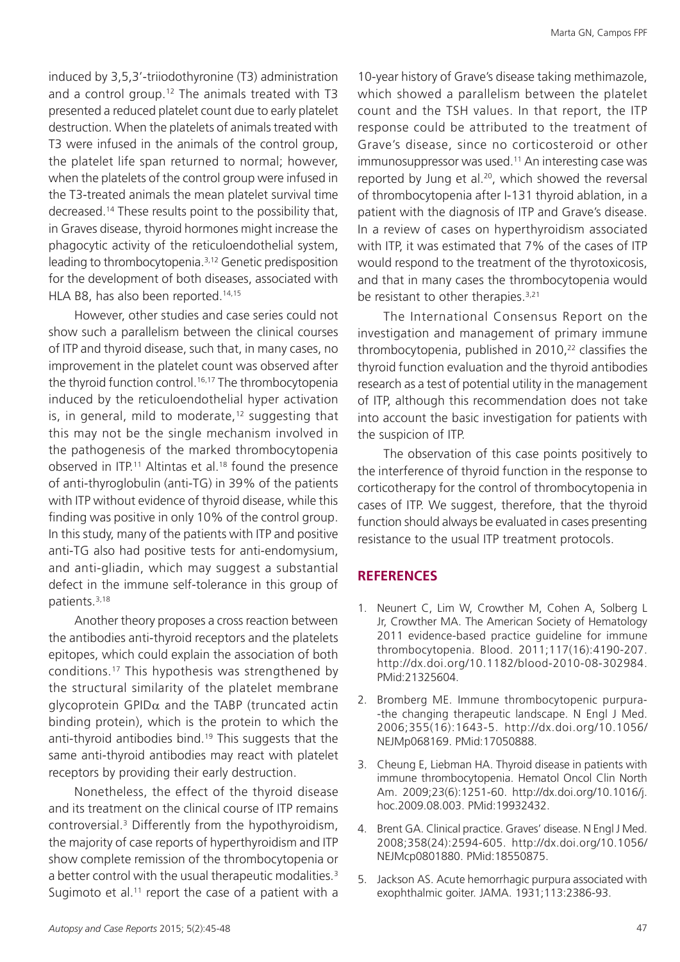induced by 3,5,3'-triiodothyronine (T3) administration and a control group.12 The animals treated with T3 presented a reduced platelet count due to early platelet destruction. When the platelets of animals treated with T3 were infused in the animals of the control group, the platelet life span returned to normal; however, when the platelets of the control group were infused in the T3-treated animals the mean platelet survival time decreased.14 These results point to the possibility that, in Graves disease, thyroid hormones might increase the phagocytic activity of the reticuloendothelial system, leading to thrombocytopenia.3,12 Genetic predisposition for the development of both diseases, associated with HLA B8, has also been reported.<sup>14,15</sup>

However, other studies and case series could not show such a parallelism between the clinical courses of ITP and thyroid disease, such that, in many cases, no improvement in the platelet count was observed after the thyroid function control.<sup>16,17</sup> The thrombocytopenia induced by the reticuloendothelial hyper activation is, in general, mild to moderate, $12$  suggesting that this may not be the single mechanism involved in the pathogenesis of the marked thrombocytopenia observed in ITP.<sup>11</sup> Altintas et al.<sup>18</sup> found the presence of anti-thyroglobulin (anti-TG) in 39% of the patients with ITP without evidence of thyroid disease, while this finding was positive in only 10% of the control group. In this study, many of the patients with ITP and positive anti-TG also had positive tests for anti-endomysium, and anti-gliadin, which may suggest a substantial defect in the immune self-tolerance in this group of patients.3,18

Another theory proposes a cross reaction between the antibodies anti-thyroid receptors and the platelets epitopes, which could explain the association of both conditions.17 This hypothesis was strengthened by the structural similarity of the platelet membrane glycoprotein GPID $\alpha$  and the TABP (truncated actin binding protein), which is the protein to which the anti-thyroid antibodies bind.<sup>19</sup> This suggests that the same anti-thyroid antibodies may react with platelet receptors by providing their early destruction.

Nonetheless, the effect of the thyroid disease and its treatment on the clinical course of ITP remains controversial.3 Differently from the hypothyroidism, the majority of case reports of hyperthyroidism and ITP show complete remission of the thrombocytopenia or a better control with the usual therapeutic modalities.<sup>3</sup> Sugimoto et al. $11$  report the case of a patient with a

10-year history of Grave's disease taking methimazole, which showed a parallelism between the platelet count and the TSH values. In that report, the ITP response could be attributed to the treatment of Grave's disease, since no corticosteroid or other immunosuppressor was used.<sup>11</sup> An interesting case was reported by Jung et al.<sup>20</sup>, which showed the reversal of thrombocytopenia after I-131 thyroid ablation, in a patient with the diagnosis of ITP and Grave's disease. In a review of cases on hyperthyroidism associated with ITP, it was estimated that 7% of the cases of ITP would respond to the treatment of the thyrotoxicosis, and that in many cases the thrombocytopenia would be resistant to other therapies.<sup>3,21</sup>

The International Consensus Report on the investigation and management of primary immune thrombocytopenia, published in  $2010<sub>1</sub><sup>22</sup>$  classifies the thyroid function evaluation and the thyroid antibodies research as a test of potential utility in the management of ITP, although this recommendation does not take into account the basic investigation for patients with the suspicion of ITP.

The observation of this case points positively to the interference of thyroid function in the response to corticotherapy for the control of thrombocytopenia in cases of ITP. We suggest, therefore, that the thyroid function should always be evaluated in cases presenting resistance to the usual ITP treatment protocols.

#### **REFERENCES**

- 1. Neunert C, Lim W, Crowther M, Cohen A, Solberg L Jr, Crowther MA. The American Society of Hematology 2011 evidence-based practice guideline for immune thrombocytopenia. Blood. 2011;117(16):4190-207. <http://dx.doi.org/10.1182/blood-2010-08-302984>. [PMid:21325604.](http://www.ncbi.nlm.nih.gov/entrez/query.fcgi?cmd=Retrieve&db=PubMed&list_uids=21325604&dopt=Abstract)
- 2. Bromberg ME. Immune thrombocytopenic purpura- -the changing therapeutic landscape. N Engl J Med. 2006;355(16):1643-5. [http://dx.doi.org/10.1056/](http://dx.doi.org/10.1056/NEJMp068169) [NEJMp068169](http://dx.doi.org/10.1056/NEJMp068169). [PMid:17050888.](http://www.ncbi.nlm.nih.gov/entrez/query.fcgi?cmd=Retrieve&db=PubMed&list_uids=17050888&dopt=Abstract)
- 3. Cheung E, Liebman HA. Thyroid disease in patients with immune thrombocytopenia. Hematol Oncol Clin North Am. 2009;23(6):1251-60. [http://dx.doi.org/10.1016/j.](http://dx.doi.org/10.1016/j.hoc.2009.08.003) [hoc.2009.08.003](http://dx.doi.org/10.1016/j.hoc.2009.08.003). [PMid:19932432.](http://www.ncbi.nlm.nih.gov/entrez/query.fcgi?cmd=Retrieve&db=PubMed&list_uids=19932432&dopt=Abstract)
- 4. Brent GA. Clinical practice. Graves' disease. N Engl J Med. 2008;358(24):2594-605. [http://dx.doi.org/10.1056/](http://dx.doi.org/10.1056/NEJMcp0801880) [NEJMcp0801880](http://dx.doi.org/10.1056/NEJMcp0801880). [PMid:18550875.](http://www.ncbi.nlm.nih.gov/entrez/query.fcgi?cmd=Retrieve&db=PubMed&list_uids=18550875&dopt=Abstract)
- 5. Jackson AS. Acute hemorrhagic purpura associated with exophthalmic goiter. JAMA. 1931;113:2386-93.